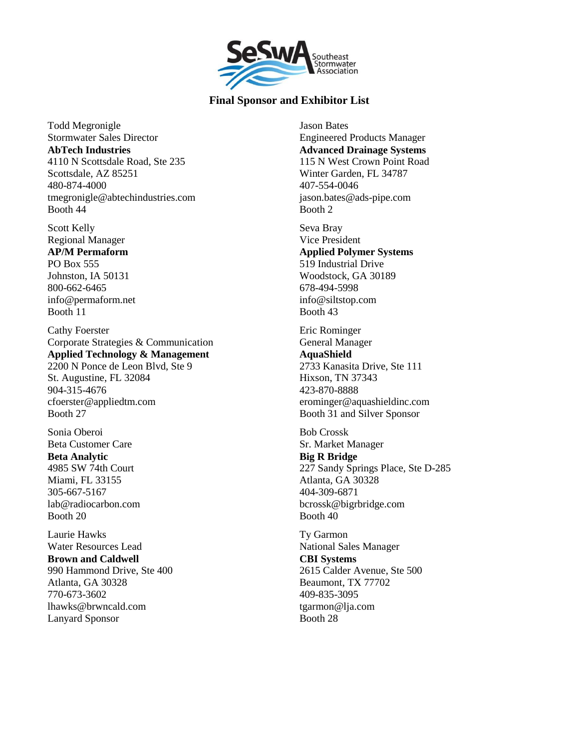

Todd Megronigle Stormwater Sales Director **AbTech Industries** 4110 N Scottsdale Road, Ste 235 Scottsdale, AZ 85251 480-874-4000 tmegronigle@abtechindustries.com Booth 44

Scott Kelly Regional Manager **AP/M Permaform** PO Box 555 Johnston, IA 50131 800-662-6465 info@permaform.net Booth 11

Cathy Foerster Corporate Strategies & Communication **Applied Technology & Management** 2200 N Ponce de Leon Blvd, Ste 9 St. Augustine, FL 32084 904-315-4676 cfoerster@appliedtm.com Booth 27

Sonia Oberoi Beta Customer Care **Beta Analytic** 4985 SW 74th Court Miami, FL 33155 305-667-5167 lab@radiocarbon.com Booth 20

Laurie Hawks Water Resources Lead **Brown and Caldwell** 990 Hammond Drive, Ste 400 Atlanta, GA 30328 770-673-3602 lhawks@brwncald.com Lanyard Sponsor

Jason Bates Engineered Products Manager **Advanced Drainage Systems** 115 N West Crown Point Road Winter Garden, FL 34787 407-554-0046 jason.bates@ads-pipe.com Booth 2

Seva Bray Vice President **Applied Polymer Systems** 519 Industrial Drive Woodstock, GA 30189 678-494-5998 info@siltstop.com Booth 43

Eric Rominger General Manager **AquaShield** 2733 Kanasita Drive, Ste 111 Hixson, TN 37343 423-870-8888 erominger@aquashieldinc.com Booth 31 and Silver Sponsor

Bob Crossk Sr. Market Manager **Big R Bridge** 227 Sandy Springs Place, Ste D-285 Atlanta, GA 30328 404-309-6871 bcrossk@bigrbridge.com Booth 40

Ty Garmon National Sales Manager **CBI Systems** 2615 Calder Avenue, Ste 500 Beaumont, TX 77702 409-835-3095 tgarmon@lja.com Booth 28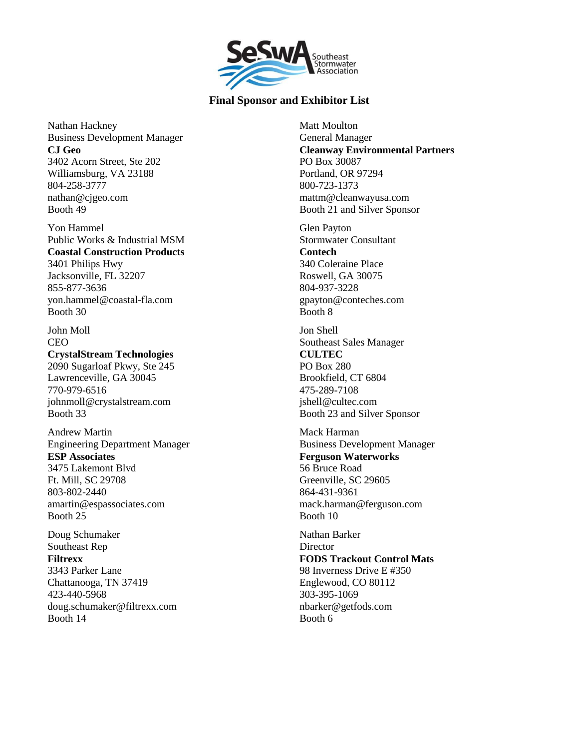

Nathan Hackney Business Development Manager **CJ Geo** 3402 Acorn Street, Ste 202 Williamsburg, VA 23188 804-258-3777 nathan@cjgeo.com Booth 49

Yon Hammel Public Works & Industrial MSM **Coastal Construction Products** 3401 Philips Hwy Jacksonville, FL 32207 855-877-3636 yon.hammel@coastal-fla.com Booth 30

John Moll CEO **CrystalStream Technologies** 2090 Sugarloaf Pkwy, Ste 245 Lawrenceville, GA 30045 770-979-6516 johnmoll@crystalstream.com Booth 33

Andrew Martin Engineering Department Manager **ESP Associates** 3475 Lakemont Blvd Ft. Mill, SC 29708 803-802-2440 amartin@espassociates.com Booth 25

Doug Schumaker Southeast Rep **Filtrexx** 3343 Parker Lane Chattanooga, TN 37419 423-440-5968 doug.schumaker@filtrexx.com Booth 14

Matt Moulton General Manager **Cleanway Environmental Partners** PO Box 30087 Portland, OR 97294 800-723-1373 mattm@cleanwayusa.com Booth 21 and Silver Sponsor

Glen Payton Stormwater Consultant **Contech** 340 Coleraine Place Roswell, GA 30075 804-937-3228 gpayton@conteches.com Booth 8

Jon Shell Southeast Sales Manager **CULTEC** PO Box 280 Brookfield, CT 6804 475-289-7108 jshell@cultec.com Booth 23 and Silver Sponsor

Mack Harman Business Development Manager **Ferguson Waterworks** 56 Bruce Road Greenville, SC 29605 864-431-9361 mack.harman@ferguson.com Booth 10

Nathan Barker **Director FODS Trackout Control Mats** 98 Inverness Drive E #350 Englewood, CO 80112 303-395-1069 nbarker@getfods.com Booth 6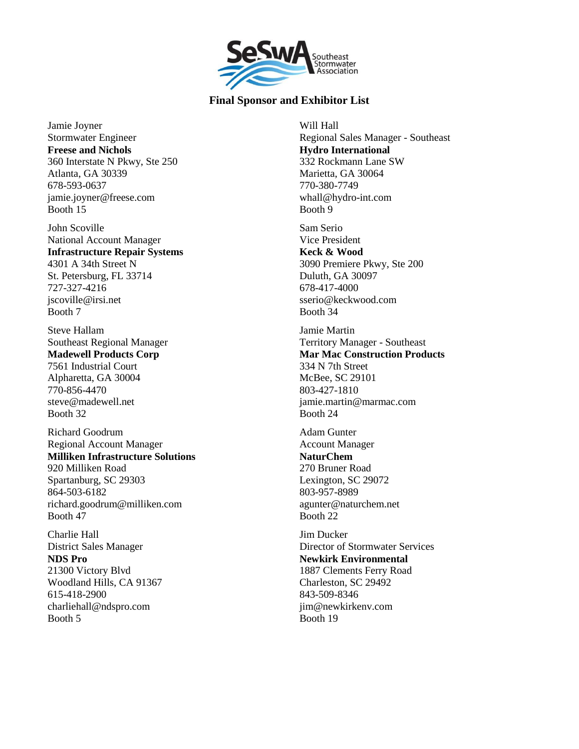

Jamie Joyner Stormwater Engineer **Freese and Nichols** 360 Interstate N Pkwy, Ste 250 Atlanta, GA 30339 678-593-0637 jamie.joyner@freese.com Booth 15

John Scoville National Account Manager **Infrastructure Repair Systems** 4301 A 34th Street N St. Petersburg, FL 33714 727-327-4216 jscoville@irsi.net Booth 7

Steve Hallam Southeast Regional Manager **Madewell Products Corp** 7561 Industrial Court Alpharetta, GA 30004 770-856-4470 steve@madewell.net Booth 32

Richard Goodrum Regional Account Manager **Milliken Infrastructure Solutions** 920 Milliken Road Spartanburg, SC 29303 864-503-6182 richard.goodrum@milliken.com Booth 47

Charlie Hall District Sales Manager **NDS Pro** 21300 Victory Blvd Woodland Hills, CA 91367 615-418-2900 charliehall@ndspro.com Booth 5

Will Hall Regional Sales Manager - Southeast **Hydro International** 332 Rockmann Lane SW Marietta, GA 30064 770-380-7749 whall@hydro-int.com Booth 9

Sam Serio Vice President **Keck & Wood** 3090 Premiere Pkwy, Ste 200 Duluth, GA 30097 678-417-4000 sserio@keckwood.com Booth 34

Jamie Martin Territory Manager - Southeast **Mar Mac Construction Products** 334 N 7th Street McBee, SC 29101 803-427-1810 jamie.martin@marmac.com Booth 24

Adam Gunter Account Manager **NaturChem** 270 Bruner Road Lexington, SC 29072 803-957-8989 agunter@naturchem.net Booth 22

Jim Ducker Director of Stormwater Services **Newkirk Environmental** 1887 Clements Ferry Road Charleston, SC 29492 843-509-8346 iim@newkirkenv.com Booth 19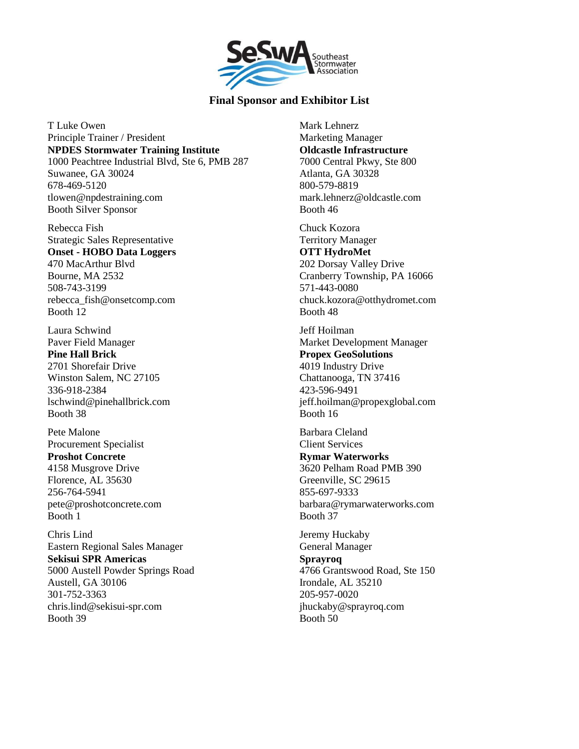

T Luke Owen Principle Trainer / President **NPDES Stormwater Training Institute** 1000 Peachtree Industrial Blvd, Ste 6, PMB 287 Suwanee, GA 30024 678-469-5120 tlowen@npdestraining.com Booth Silver Sponsor

Rebecca Fish Strategic Sales Representative **Onset - HOBO Data Loggers** 470 MacArthur Blvd Bourne, MA 2532 508-743-3199 rebecca\_fish@onsetcomp.com Booth 12

Laura Schwind Paver Field Manager **Pine Hall Brick** 2701 Shorefair Drive Winston Salem, NC 27105 336-918-2384 lschwind@pinehallbrick.com Booth 38

Pete Malone Procurement Specialist **Proshot Concrete** 4158 Musgrove Drive Florence, AL 35630 256-764-5941 pete@proshotconcrete.com Booth 1

Chris Lind Eastern Regional Sales Manager **Sekisui SPR Americas** 5000 Austell Powder Springs Road Austell, GA 30106 301-752-3363 chris.lind@sekisui-spr.com Booth 39

Mark Lehnerz Marketing Manager **Oldcastle Infrastructure** 7000 Central Pkwy, Ste 800 Atlanta, GA 30328 800-579-8819 mark.lehnerz@oldcastle.com Booth 46

Chuck Kozora Territory Manager **OTT HydroMet** 202 Dorsay Valley Drive Cranberry Township, PA 16066 571-443-0080 chuck.kozora@otthydromet.com Booth 48

Jeff Hoilman Market Development Manager **Propex GeoSolutions** 4019 Industry Drive Chattanooga, TN 37416 423-596-9491 jeff.hoilman@propexglobal.com Booth 16

Barbara Cleland Client Services **Rymar Waterworks** 3620 Pelham Road PMB 390 Greenville, SC 29615 855-697-9333 barbara@rymarwaterworks.com Booth 37

Jeremy Huckaby General Manager **Sprayroq** 4766 Grantswood Road, Ste 150 Irondale, AL 35210 205-957-0020 jhuckaby@sprayroq.com Booth 50